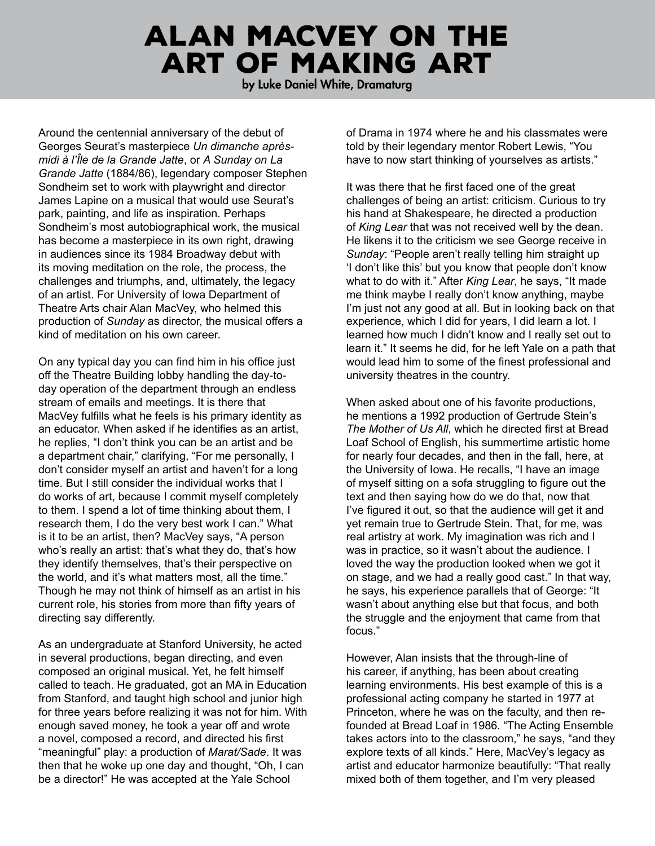## ALAN MACVEY ON THE **ART OF MAKING ART**

by Luke Daniel White, Dramaturg

Around the centennial anniversary of the debut of Georges Seurat's masterpiece Un dimanche aprèsmidi à l'Île de la Grande Jatte, or A Sunday on La Grande Jatte (1884/86), legendary composer Stephen Sondheim set to work with playwright and director James Lapine on a musical that would use Seurat's park, painting, and life as inspiration. Perhaps Sondheim's most autobiographical work, the musical has become a masterpiece in its own right, drawing in audiences since its 1984 Broadway debut with its moving meditation on the role, the process, the challenges and triumphs, and, ultimately, the legacy of an artist. For University of Iowa Department of Theatre Arts chair Alan MacVey, who helmed this production of Sunday as director, the musical offers a kind of meditation on his own career.

On any typical day you can find him in his office just off the Theatre Building lobby handling the day-today operation of the department through an endless stream of emails and meetings. It is there that MacVey fulfills what he feels is his primary identity as an educator. When asked if he identifies as an artist. he replies, "I don't think you can be an artist and be a department chair," clarifying, "For me personally, I don't consider myself an artist and haven't for a long time. But I still consider the individual works that I do works of art, because I commit myself completely to them. I spend a lot of time thinking about them, I research them, I do the very best work I can." What is it to be an artist, then? MacVey says, "A person who's really an artist: that's what they do, that's how they identify themselves, that's their perspective on the world, and it's what matters most, all the time." Though he may not think of himself as an artist in his current role, his stories from more than fifty years of directing say differently.

As an undergraduate at Stanford University, he acted in several productions, began directing, and even composed an original musical. Yet, he felt himself called to teach. He graduated, got an MA in Education from Stanford, and taught high school and junior high for three years before realizing it was not for him. With enough saved money, he took a year off and wrote a novel, composed a record, and directed his first "meaningful" play: a production of Marat/Sade. It was then that he woke up one day and thought, "Oh, I can be a director!" He was accepted at the Yale School

of Drama in 1974 where he and his classmates were told by their legendary mentor Robert Lewis, "You have to now start thinking of yourselves as artists."

It was there that he first faced one of the great challenges of being an artist: criticism. Curious to try his hand at Shakespeare, he directed a production of King Lear that was not received well by the dean. He likens it to the criticism we see George receive in Sunday: "People aren't really telling him straight up 'I don't like this' but you know that people don't know what to do with it." After King Lear, he says, "It made me think maybe I really don't know anything, maybe I'm just not any good at all. But in looking back on that experience, which I did for years, I did learn a lot. I learned how much I didn't know and I really set out to learn it." It seems he did, for he left Yale on a path that would lead him to some of the finest professional and university theatres in the country.

When asked about one of his favorite productions, he mentions a 1992 production of Gertrude Stein's The Mother of Us All, which he directed first at Bread Loaf School of English, his summertime artistic home for nearly four decades, and then in the fall, here, at the University of Iowa. He recalls, "I have an image of myself sitting on a sofa struggling to figure out the text and then saying how do we do that, now that I've figured it out, so that the audience will get it and yet remain true to Gertrude Stein. That, for me, was real artistry at work. My imagination was rich and I was in practice, so it wasn't about the audience. I loved the way the production looked when we got it on stage, and we had a really good cast." In that way, he says, his experience parallels that of George: "It wasn't about anything else but that focus, and both the struggle and the enjoyment that came from that focus."

However, Alan insists that the through-line of his career, if anything, has been about creating learning environments. His best example of this is a professional acting company he started in 1977 at Princeton, where he was on the faculty, and then refounded at Bread Loaf in 1986. "The Acting Ensemble takes actors into to the classroom," he says, "and they explore texts of all kinds." Here, MacVey's legacy as artist and educator harmonize beautifully: "That really mixed both of them together, and I'm very pleased